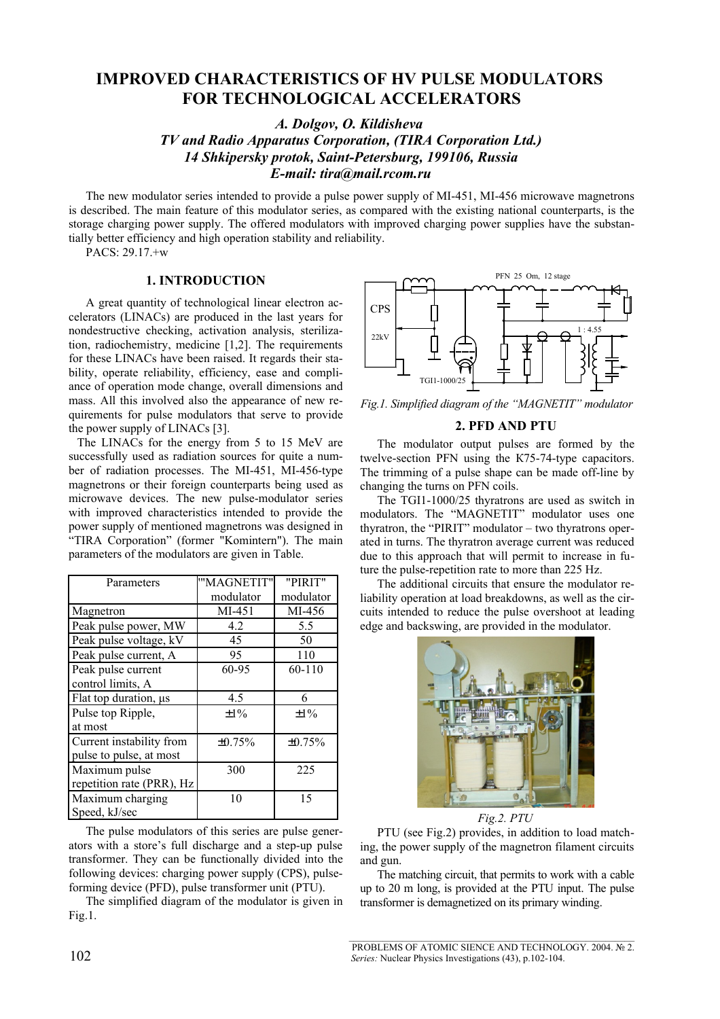# **IMPROVED CHARACTERISTICS OF HV PULSE MODULATORS FOR TECHNOLOGICAL ACCELERATORS**

*A. Dolgov, O. Kildisheva* 

*TV and Radio Apparatus Corporation, (TIRA Corporation Ltd.) 14 Shkipersky protok, Saint-Petersburg, 199106, Russia E-mail: tira@mail.rcom.ru*

The new modulator series intended to provide a pulse power supply of MI-451, MI-456 microwave magnetrons is described. The main feature of this modulator series, as compared with the existing national counterparts, is the storage charging power supply. The offered modulators with improved charging power supplies have the substantially better efficiency and high operation stability and reliability.

PACS: 29.17.+w

## **1. INTRODUCTION**

A great quantity of technological linear electron accelerators (LINACs) are produced in the last years for nondestructive checking, activation analysis, sterilization, radiochemistry, medicine [1,2]. The requirements for these LINACs have been raised. It regards their stability, operate reliability, efficiency, ease and compliance of operation mode change, overall dimensions and mass. All this involved also the appearance of new requirements for pulse modulators that serve to provide the power supply of LINACs [3].

The LINACs for the energy from 5 to 15 MeV are successfully used as radiation sources for quite a number of radiation processes. The MI-451, MI-456-type magnetrons or their foreign counterparts being used as microwave devices. The new pulse-modulator series with improved characteristics intended to provide the power supply of mentioned magnetrons was designed in "TIRA Corporation" (former "Komintern"). The main parameters of the modulators are given in Table.

| Parameters                | "'MAGNETIT"  | "PIRIT"   |
|---------------------------|--------------|-----------|
|                           | modulator    | modulator |
| Magnetron                 | MI-451       | MI-456    |
| Peak pulse power, MW      | 4.2          | 5.5       |
| Peak pulse voltage, kV    | 45           | 50        |
| Peak pulse current, A     | 95           | 110       |
| Peak pulse current        | 60-95        | 60-110    |
| control limits, A         |              |           |
| Flat top duration, us     | 4.5          | 6         |
| Pulse top Ripple,         | $\pm 1\%$    | $\pm 1\%$ |
| at most                   |              |           |
| Current instability from  | $\pm 0.75\%$ | ±0.75%    |
| pulse to pulse, at most   |              |           |
| Maximum pulse             | 300          | 225       |
| repetition rate (PRR), Hz |              |           |
| Maximum charging          | 10           | 15        |
| Speed, kJ/sec             |              |           |

The pulse modulators of this series are pulse generators with a store's full discharge and a step-up pulse transformer. They can be functionally divided into the following devices: charging power supply (CPS), pulseforming device (PFD), pulse transformer unit (PTU).

The simplified diagram of the modulator is given in Fig.1.



*Fig.1. Simplified diagram of the "MAGNETIT" modulator*

### **2. PFD AND PTU**

The modulator output pulses are formed by the twelve-section PFN using the К75-74-type capacitors. The trimming of a pulse shape can be made off-line by changing the turns on PFN coils.

The TGI1-1000/25 thyratrons are used as switch in modulators. The "MAGNETIT" modulator uses one thyratron, the "PIRIT" modulator – two thyratrons operated in turns. The thyratron average current was reduced due to this approach that will permit to increase in future the pulse-repetition rate to more than 225 Hz.

The additional circuits that ensure the modulator reliability operation at load breakdowns, as well as the circuits intended to reduce the pulse overshoot at leading edge and backswing, are provided in the modulator.



*Fig.2. PTU*

PTU (see Fig.2) provides, in addition to load matching, the power supply of the magnetron filament circuits and gun.

The matching circuit, that permits to work with a cable up to 20 m long, is provided at the PTU input. The pulse transformer is demagnetized on its primary winding.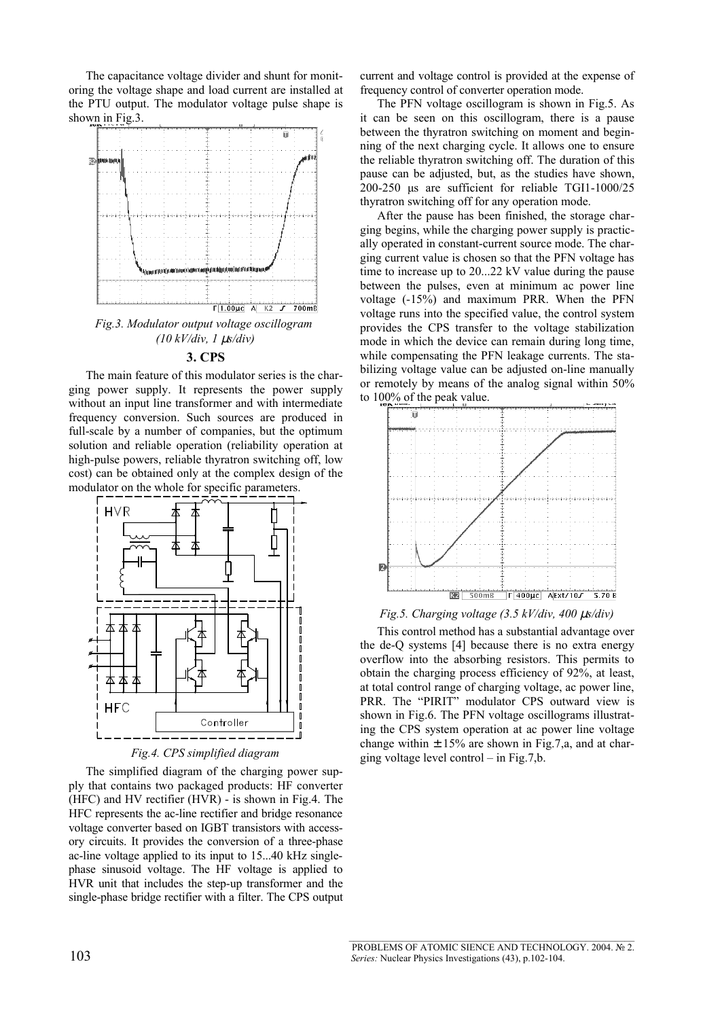The capacitance voltage divider and shunt for monitoring the voltage shape and load current are installed at the PTU output. The modulator voltage pulse shape is shown in Fig.3.



*(10 kV/div, 1* µ*s/div)*

# **3. CPS**

The main feature of this modulator series is the charging power supply. It represents the power supply without an input line transformer and with intermediate frequency conversion. Such sources are produced in full-scale by a number of companies, but the optimum solution and reliable operation (reliability operation at high-pulse powers, reliable thyratron switching off, low cost) can be obtained only at the complex design of the modulator on the whole for specific parameters.



*Fig.4. CPS simplified diagram*

The simplified diagram of the charging power supply that contains two packaged products: HF converter (HFC) and HV rectifier (HVR) - is shown in Fig.4. The HFC represents the ac-line rectifier and bridge resonance voltage converter based on IGBT transistors with accessory circuits. It provides the conversion of a three-phase ac-line voltage applied to its input to 15...40 kHz singlephase sinusoid voltage. The HF voltage is applied to HVR unit that includes the step-up transformer and the single-phase bridge rectifier with a filter. The CPS output current and voltage control is provided at the expense of frequency control of converter operation mode.

The PFN voltage oscillogram is shown in Fig.5. As it can be seen on this oscillogram, there is a pause between the thyratron switching on moment and beginning of the next charging cycle. It allows one to ensure the reliable thyratron switching off. The duration of this pause can be adjusted, but, as the studies have shown, 200-250 μs are sufficient for reliable TGI1-1000/25 thyratron switching off for any operation mode.

After the pause has been finished, the storage charging begins, while the charging power supply is practically operated in constant-current source mode. The charging current value is chosen so that the PFN voltage has time to increase up to 20...22 kV value during the pause between the pulses, even at minimum ac power line voltage (-15%) and maximum PRR. When the PFN voltage runs into the specified value, the control system provides the CPS transfer to the voltage stabilization mode in which the device can remain during long time, while compensating the PFN leakage currents. The stabilizing voltage value can be adjusted on-line manually or remotely by means of the analog signal within 50% to 100% of the peak value.





This control method has a substantial advantage over the de-Q systems [4] because there is no extra energy overflow into the absorbing resistors. This permits to obtain the charging process efficiency of 92%, at least, at total control range of charging voltage, ac power line, PRR. The "PIRIT" modulator CPS outward view is shown in Fig.6. The PFN voltage oscillograms illustrating the CPS system operation at ac power line voltage change within  $\pm$  15% are shown in Fig.7,a, and at charging voltage level control – in Fig.7,b.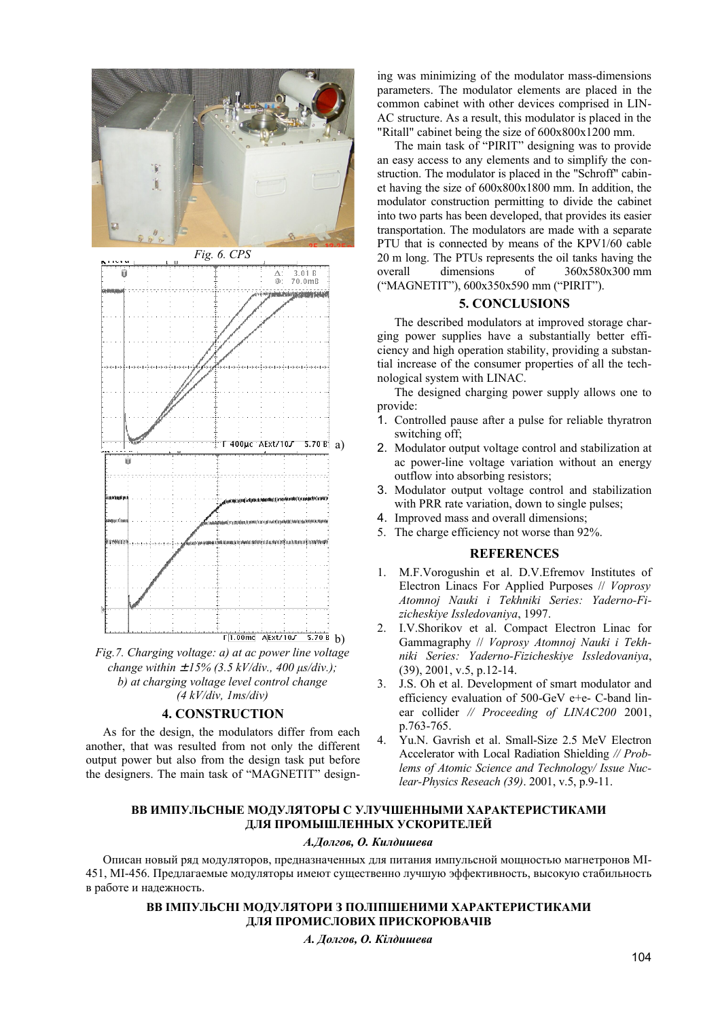

*Fig.7. Charging voltage: a) at ac power line voltage change within* ± *15% (3.5 kV/div., 400 μs/div.); b) at charging voltage level control change (4 kV/div, 1ms/div)*

#### **4. CONSTRUCTION**

As for the design, the modulators differ from each another, that was resulted from not only the different output power but also from the design task put before the designers. The main task of "MAGNETIT" designing was minimizing of the modulator mass-dimensions parameters. The modulator elements are placed in the common cabinet with other devices comprised in LIN-AC structure. As a result, this modulator is placed in the "Ritall" cabinet being the size of 600х800x1200 mm.

The main task of "PIRIT" designing was to provide an easy access to any elements and to simplify the construction. The modulator is placed in the "Schroff" cabinet having the size of 600х800х1800 mm. In addition, the modulator construction permitting to divide the cabinet into two parts has been developed, that provides its easier transportation. The modulators are made with a separate PTU that is connected by means of the KPV1/60 cable 20 m long. The PTUs represents the oil tanks having the overall dimensions of  $360x580x300$  mm ("MAGNETIT"), 600х350х590 mm ("PIRIT").

### **5. CONCLUSIONS**

The described modulators at improved storage charging power supplies have a substantially better efficiency and high operation stability, providing a substantial increase of the consumer properties of all the technological system with LINAC.

The designed charging power supply allows one to provide:

- 1. Controlled pause after a pulse for reliable thyratron switching off;
- 2. Modulator output voltage control and stabilization at ac power-line voltage variation without an energy outflow into absorbing resistors;
- 3. Modulator output voltage control and stabilization with PRR rate variation, down to single pulses;
- 4. Improved mass and overall dimensions;
- 5. The charge efficiency not worse than 92%.

## **REFERENCES**

- 1. M.F.Vorogushin et al. D.V.Efremov Institutes of Electron Linacs For Applied Purposes // *Voprosy Atomnoj Nauki i Tekhniki Series: Yaderno-Fizicheskiye Issledovaniya*, 1997.
- 2. I.V.Shorikov et al. Compact Electron Linac for Gammagraphy // *Voprosy Atomnoj Nauki i Tekhniki Series: Yaderno-Fizicheskiye Issledovaniya*, (39), 2001, v.5, p.12-14.
- 3. J.S. Oh et al. Development of smart modulator and efficiency evaluation of 500-GeV e+e- C-band linear collider *// Proceeding of LINAC200* 2001, p.763-765.
- 4. Yu.N. Gavrish et al. Small-Size 2.5 MeV Electron Accelerator with Local Radiation Shielding *// Problems of Atomic Science and Technology/ Issue Nuclear-Physics Reseach (39)*. 2001, v.5, p.9-11.

# **ВВ ИМПУЛЬСНЫЕ МОДУЛЯТОРЫ С УЛУЧШЕННЫМИ ХАРАКТЕРИСТИКАМИ ДЛЯ ПРОМЫШЛЕННЫХ УСКОРИТЕЛЕЙ**

#### *А.Долгов, О. Килдишева*

Описан новый ряд модуляторов, предназначенных для питания импульсной мощностью магнетронов MI-451, MI-456. Предлагаемые модуляторы имеют существенно лучшую эффективность, высокую стабильность в работе и надежность.

### **ВВ ІМПУЛЬСНІ МОДУЛЯТОРИ З ПОЛІПШЕНИМИ ХАРАКТЕРИСТИКАМИ ДЛЯ ПРОМИСЛОВИХ ПРИСКОРЮВАЧІВ**

*А. Долгов, О. Кілдишева*